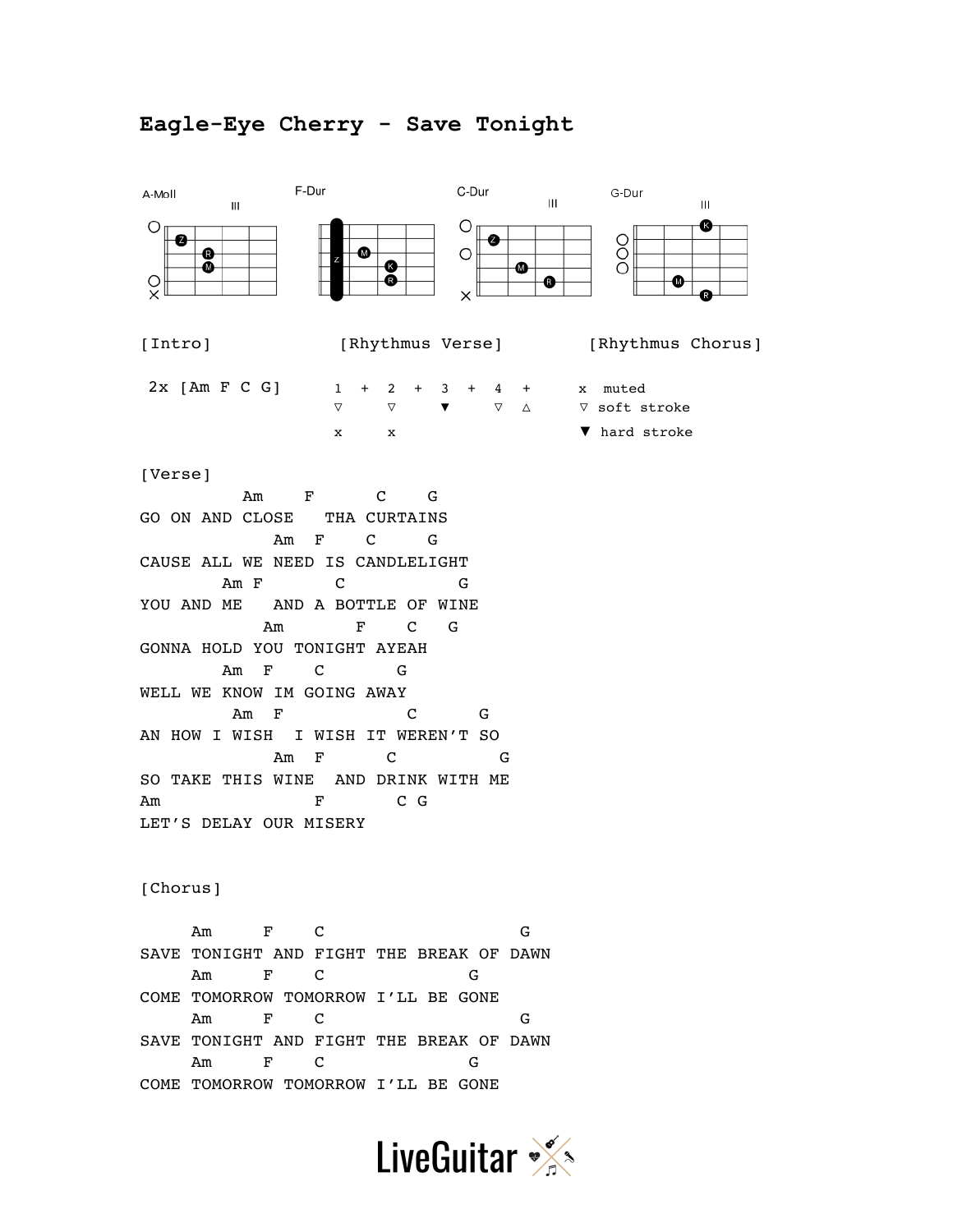## **Eagle-Eye Cherry - Save Tonight**



[Verse]

 Am F C G GO ON AND CLOSE THA CURTAINS Am F C G CAUSE ALL WE NEED IS CANDLELIGHT Am F C G YOU AND ME AND A BOTTLE OF WINE Am F C G GONNA HOLD YOU TONIGHT AYEAH Am F C G WELL WE KNOW IM GOING AWAY Am F C G AN HOW I WISH I WISH IT WEREN'T SO Am F C G SO TAKE THIS WINE AND DRINK WITH ME Am F C G LET'S DELAY OUR MISERY

[Chorus]

 Am F C G SAVE TONIGHT AND FIGHT THE BREAK OF DAWN Am F C G COME TOMORROW TOMORROW I'LL BE GONE Am F C G SAVE TONIGHT AND FIGHT THE BREAK OF DAWN Am F C G COME TOMORROW TOMORROW I'LL BE GONE

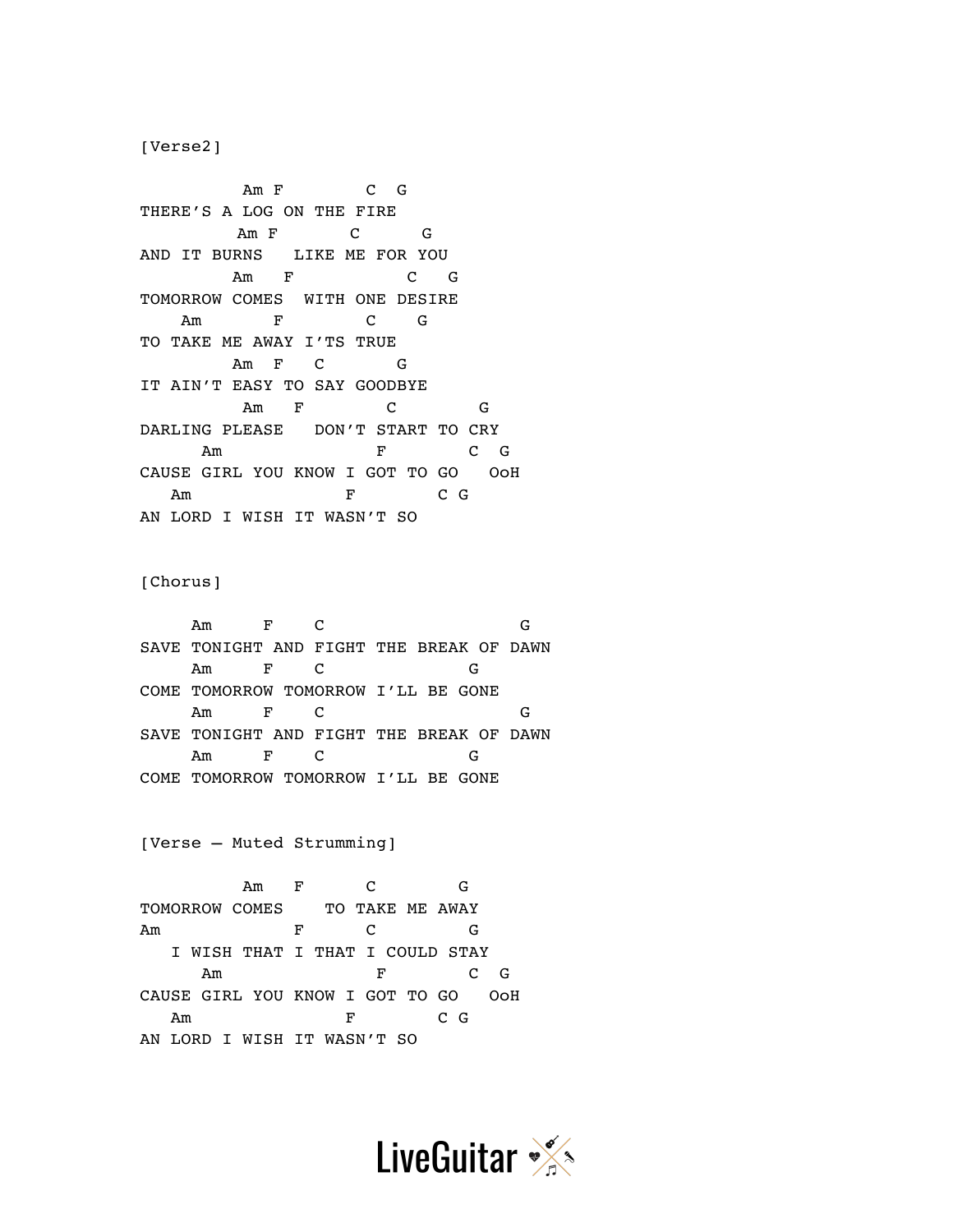[Verse2]

Am F C G THERE'S A LOG ON THE FIRE Am F C G AND IT BURNS LIKE ME FOR YOU Am F C G TOMORROW COMES WITH ONE DESIRE Am F C G TO TAKE ME AWAY I'TS TRUE Am F C G IT AIN'T EASY TO SAY GOODBYE Am F C G DARLING PLEASE DON'T START TO CRY Am F C G CAUSE GIRL YOU KNOW I GOT TO GO OoH Am F C G AN LORD I WISH IT WASN'T SO

[Chorus]

Am F C G SAVE TONIGHT AND FIGHT THE BREAK OF DAWN Am F C G COME TOMORROW TOMORROW I'LL BE GONE Am F C G SAVE TONIGHT AND FIGHT THE BREAK OF DAWN Am F C G COME TOMORROW TOMORROW I'LL BE GONE

[Verse – Muted Strumming]

 Am F C G TOMORROW COMES TO TAKE ME AWAY Am F C G I WISH THAT I THAT I COULD STAY Am F C G CAUSE GIRL YOU KNOW I GOT TO GO OoH Am F C G AN LORD I WISH IT WASN'T SO